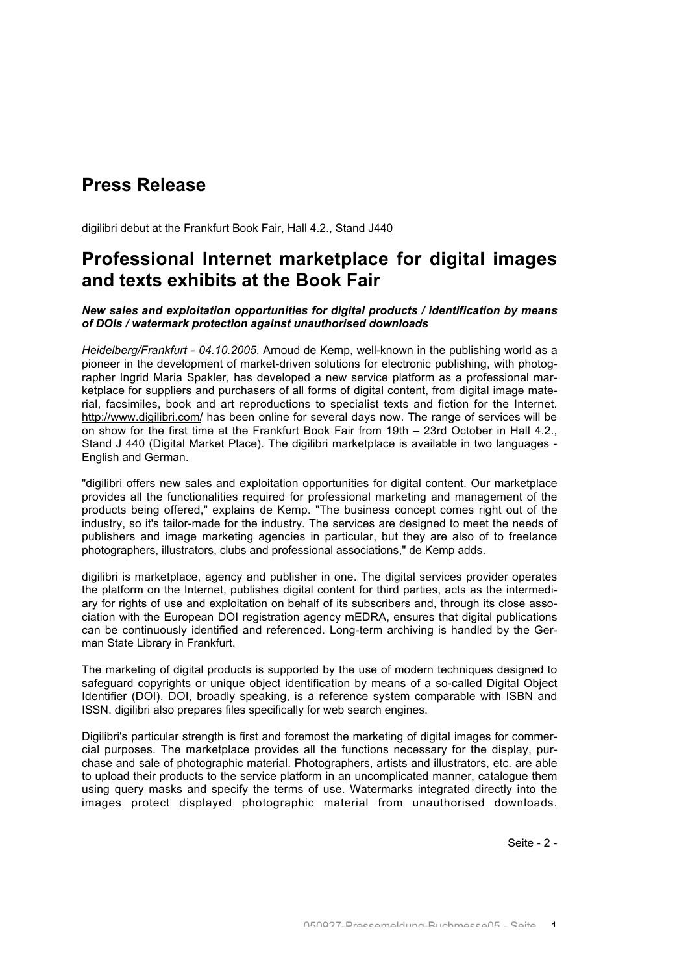# **Press Release**

digilibri debut at the Frankfurt Book Fair, Hall 4.2., Stand J440

## **Professional Internet marketplace for digital images and texts exhibits at the Book Fair**

### *New sales and exploitation opportunities for digital products / identification by means of DOIs / watermark protection against unauthorised downloads*

*Heidelberg/Frankfurt - 04.10.2005*. Arnoud de Kemp, well-known in the publishing world as a pioneer in the development of market-driven solutions for electronic publishing, with photographer Ingrid Maria Spakler, has developed a new service platform as a professional marketplace for suppliers and purchasers of all forms of digital content, from digital image material, facsimiles, book and art reproductions to specialist texts and fiction for the Internet. http://www.digilibri.com/ has been online for several days now. The range of services will be on show for the first time at the Frankfurt Book Fair from 19th – 23rd October in Hall 4.2., Stand J 440 (Digital Market Place). The digilibri marketplace is available in two languages - English and German.

"digilibri offers new sales and exploitation opportunities for digital content. Our marketplace provides all the functionalities required for professional marketing and management of the products being offered," explains de Kemp. "The business concept comes right out of the industry, so it's tailor-made for the industry. The services are designed to meet the needs of publishers and image marketing agencies in particular, but they are also of to freelance photographers, illustrators, clubs and professional associations," de Kemp adds.

digilibri is marketplace, agency and publisher in one. The digital services provider operates the platform on the Internet, publishes digital content for third parties, acts as the intermediary for rights of use and exploitation on behalf of its subscribers and, through its close association with the European DOI registration agency mEDRA, ensures that digital publications can be continuously identified and referenced. Long-term archiving is handled by the German State Library in Frankfurt.

The marketing of digital products is supported by the use of modern techniques designed to safeguard copyrights or unique object identification by means of a so-called Digital Object Identifier (DOI). DOI, broadly speaking, is a reference system comparable with ISBN and ISSN. digilibri also prepares files specifically for web search engines.

Digilibri's particular strength is first and foremost the marketing of digital images for commercial purposes. The marketplace provides all the functions necessary for the display, purchase and sale of photographic material. Photographers, artists and illustrators, etc. are able to upload their products to the service platform in an uncomplicated manner, catalogue them using query masks and specify the terms of use. Watermarks integrated directly into the images protect displayed photographic material from unauthorised downloads.

Seite - 2 -